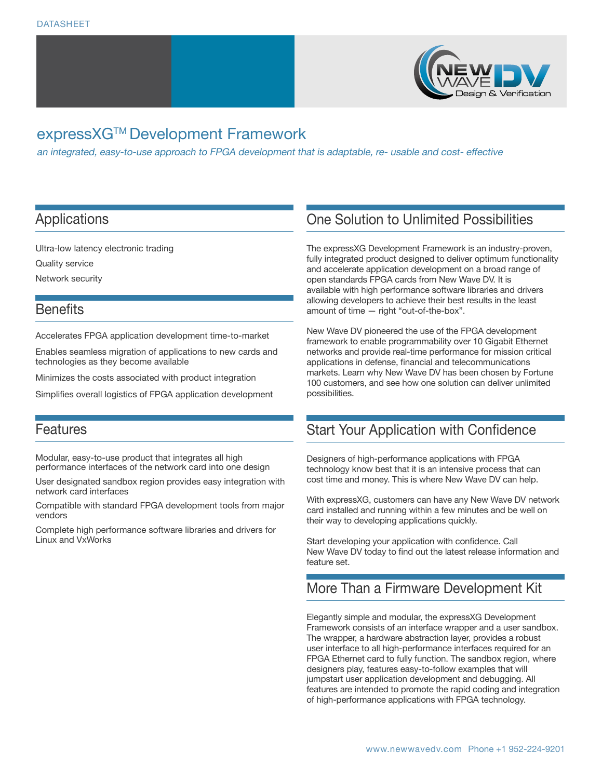

# expressXG™ Development Framework

an integrated, easy-to-use approach to FPGA development that is adaptable, re- usable and cost- effective

### Applications

Ultra-low latency electronic trading

Quality service

Network security

### **Benefits**

Accelerates FPGA application development time-to-market

Enables seamless migration of applications to new cards and technologies as they become available

Minimizes the costs associated with product integration

Simplifies overall logistics of FPGA application development

### Features

Modular, easy-to-use product that integrates all high performance interfaces of the network card into one design

User designated sandbox region provides easy integration with network card interfaces

Compatible with standard FPGA development tools from major vendors

Complete high performance software libraries and drivers for Linux and VxWorks

## One Solution to Unlimited Possibilities

The expressXG Development Framework is an industry-proven, fully integrated product designed to deliver optimum functionality and accelerate application development on a broad range of open standards FPGA cards from New Wave DV. It is available with high performance software libraries and drivers allowing developers to achieve their best results in the least amount of time — right "out-of-the-box".

New Wave DV pioneered the use of the FPGA development framework to enable programmability over 10 Gigabit Ethernet networks and provide real-time performance for mission critical applications in defense, financial and telecommunications markets. Learn why New Wave DV has been chosen by Fortune 100 customers, and see how one solution can deliver unlimited possibilities.

## Start Your Application with Confidence

Designers of high-performance applications with FPGA technology know best that it is an intensive process that can cost time and money. This is where New Wave DV can help.

With expressXG, customers can have any New Wave DV network card installed and running within a few minutes and be well on their way to developing applications quickly.

Start developing your application with confidence. Call New Wave DV today to find out the latest release information and feature set.

## More Than a Firmware Development Kit

Elegantly simple and modular, the expressXG Development Framework consists of an interface wrapper and a user sandbox. The wrapper, a hardware abstraction layer, provides a robust user interface to all high-performance interfaces required for an FPGA Ethernet card to fully function. The sandbox region, where designers play, features easy-to-follow examples that will jumpstart user application development and debugging. All features are intended to promote the rapid coding and integration of high-performance applications with FPGA technology.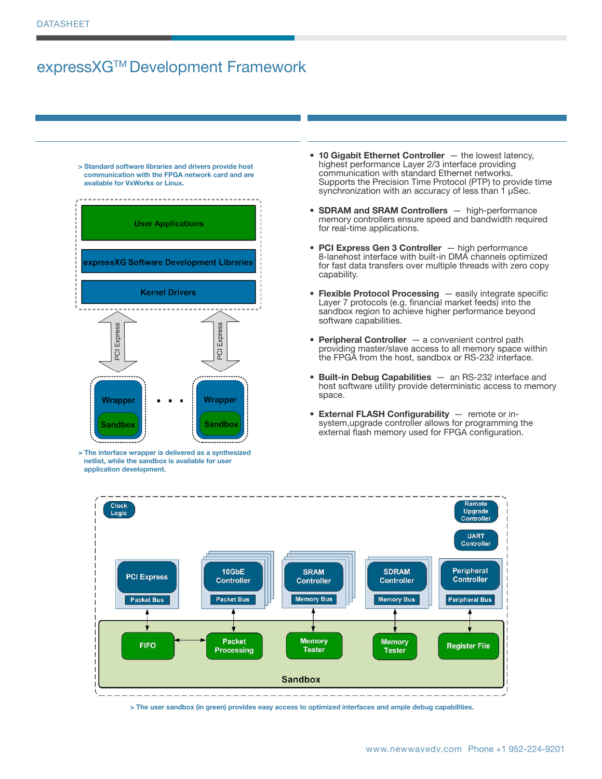# expressXG™ Development Framework

**> Standard software libraries and drivers provide host communication with the FPGA network card and are available for VxWorks or Linux.**



**> The interface wrapper is delivered as a synthesized netlist, while the sandbox is available for user application development.**

- **10 Gigabit Ethernet Controller** the lowest latency, highest performance Layer 2/3 interface providing communication with standard Ethernet networks. Supports the Precision Time Protocol (PTP) to provide time synchronization with an accuracy of less than 1 µSec.
- **• SDRAM and SRAM Controllers**  high-performance memory controllers ensure speed and bandwidth required for real-time applications.
- **• PCI Express Gen 3 Controller**  high performance 8-lanehost interface with built-in DMA channels optimized for fast data transfers over multiple threads with zero copy capability.
- **• Flexible Protocol Processing**  easily integrate specific Layer 7 protocols (e.g. financial market feeds) into the sandbox region to achieve higher performance beyond software capabilities.
- **• Peripheral Controller**  a convenient control path providing master/slave access to all memory space within the FPGA from the host, sandbox or RS-232 interface.
- **• Built-in Debug Capabilities**  an RS-232 interface and host software utility provide deterministic access to memory space.
- **• External FLASH Configurability**  remote or insystem,upgrade controller allows for programming the external flash memory used for FPGA configuration.



**> The user sandbox (in green) provides easy access to optimized interfaces and ample debug capabilities.**